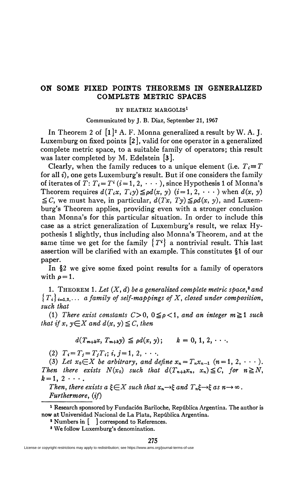## **ON SOME FIXED POINTS THEOREMS IN GENERALIZED COMPLETE METRIC SPACES**

## **BY BEATRIZ MARGOLIS<sup>1</sup>**

Communicated by J. B. Diaz, September 21, 1967

In Theorem 2 of  $[1]^2$  A. F. Monna generalized a result by W. A. J. Luxemburg on fixed points [2], valid for one operator in a generalized complete metric space, to a suitable family of operators; this result was later completed by M. Edelstein [3].

Clearly, when the family reduces to a unique element (i.e.  $T_i = T$ for all *i),* one gets Luxemburg's result. But if one considers the family of iterates of  $T: T_i = T^i$   $(i=1, 2, \cdots)$ , since Hypothesis 1 of Monna's Theorem requires  $d(T_i x, T_i y) \leq \rho d(x, y)$  (i=1, 2,  $\cdots$ ) when  $d(x, y)$  $\leq C$ , we must have, in particular,  $d(Tx, Ty) \leq \rho d(x, y)$ , and Luxemburg's Theorem applies, providing even with a stronger conclusion than Monna's for this particular situation. In order to include this case as a strict generalization of Luxemburg's result, we relax Hypothesis 1 slightly, thus including also Monna's Theorem, and at the same time we get for the family  $\{T^i\}$  a nontrivial result. This last assertion will be clarified with an example. This constitutes §1 of our paper.

In §2 we give some fixed point results for a family of operators with  $\rho = 1$ .

1. THEOREM 1. Let  $(X, d)$  be a generalized complete metric space,<sup>3</sup> and  ${T_i}_{i=1,2,\cdots}$  a family of self-mappings of X, closed under composition, *such that* 

(1) There exist constants  $C>0$ ,  $0\leq \rho < 1$ , and an integer  $m \geq 1$  such *that if* x,  $y \in X$  and  $d(x, y) \leq C$ , then

$$
d(T_{m+k}x, T_{m+k}y) \leq \rho d(x, y); \qquad k = 0, 1, 2, \cdots.
$$

(2)  $T_i = T_j = T_jT_i$ ; *i*,  $j = 1, 2, \cdots$ .

(3) Let  $x_0 \in X$  be arbitrary, and define  $x_n = T_n x_{n-1}$   $(n = 1, 2, \dots)$ . *Then there exists*  $N(x_0)$  such that  $d(T_{n+k}x_n, x_n) \leq C$ , for  $n \geq N$ ,  $k=1, 2 \cdot \cdot \cdot$ .

*Then, there exists a*  $\xi \in X$  such that  $x_n \rightarrow \xi$  and  $T_n \xi \rightarrow \xi$  as  $n \rightarrow \infty$ . *Furthermore, (if)* 

<sup>&</sup>lt;sup>1</sup> Research sponsored by Fundación Bariloche, República Argentina. The author is now at Universidad Nacional de La Plata, Repûblica Argentina.

<sup>&</sup>lt;sup>2</sup> Numbers in  $\begin{bmatrix} 1 \end{bmatrix}$  correspond to References.

<sup>8</sup> We follow Luxemburg's denomination.

License or copyright restrictions may apply to redistribution; see https://www.ams.org/journal-terms-of-use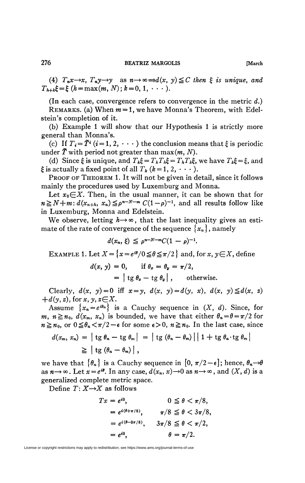(4)  $T_n x \rightarrow x$ ,  $T_n y \rightarrow y$  as  $n \rightarrow \infty \rightarrow d(x, y) \leq C$  then  $\xi$  is unique, and  $T_{h+k}\xi = \xi$  (h = max(m, N); k = 0, 1,  $\cdots$ ).

(In each case, convergence refers to convergence in the metric *d.)*  REMARKS, (a) When *m* = 1, we have Monna's Theorem, with Edelstein's completion of it.

(b) Example 1 will show that our Hypothesis 1 is strictly more general than Monna's.

(c) If  $T_i = \tilde{T}^i$  (i = 1, 2,  $\cdots$ ) the conclusion means that  $\xi$  is periodic under  $\tilde{T}$  with period not greater than  $\max(m, N)$ .

(d) Since  $\xi$  is unique, and  $T_k \xi = T_k T_k \xi = T_k T_k \xi$ , we have  $T_k \xi = \xi$ , and  $\xi$  is actually a fixed point of all  $T_k$  ( $k=1, 2, \cdots$ ).

PROOF OF THEOREM 1. It will not be given in detail, since it follows mainly the procedures used by Luxemburg and Monna.

Let  $x_0 \in X$ . Then, in the usual manner, it can be shown that for  $n \ge N+m$ :  $d(x_{n+h}, x_n) \le p^{n-N-m} C(1-p)^{-1}$ , and all results follow like in Luxemburg, Monna and Edelstein.

We observe, letting  $h \rightarrow \infty$ , that the last inequality gives an estimate of the rate of convergence of the sequence  ${x_n}$ , namely

$$
d(x_n,\xi) \leq \rho^{n-N-m}C(1-\rho)^{-1}.
$$

EXAMPLE 1. Let  $X = \{x = e^{i\theta}/0 \leq \theta \leq \pi/2\}$  and, for  $x, y \in X$ , define

$$
d(x, y) = 0, \quad \text{if } \theta_x = \theta_y = \pi/2,
$$
  
=  $\left| \text{tg } \theta_x - \text{tg } \theta_y \right|$ , otherwise.

Clearly,  $d(x, y) = 0$  iff  $x = y$ ,  $d(x, y) = d(y, x)$ ,  $d(x, y) \le d(x, z)$  $+d(y, z)$ , for x, y,  $z \in X$ .

Assume  $\{x_n = e^{i\theta_n}\}\$ is a Cauchy sequence in  $(X, d)$ . Since, for  $m, n \ge n_0, d(x_m, x_n)$  is bounded, we have that either  $\theta_n = \theta = \pi/2$  for  $n \ge n_0$ , or  $0 \le \theta_n < \pi/2 - \epsilon$  for some  $\epsilon > 0$ ,  $n \ge n_0$ . In the last case, since

$$
d(x_m, x_n) = |\text{tg } \theta_n - \text{tg } \theta_m| = |\text{tg } (\theta_n - \theta_m)| | 1 + \text{tg } \theta_n \text{tg } \theta_m|
$$
  

$$
\geq |\text{tg } (\theta_n - \theta_m)|,
$$

we have that  $\{\theta_n\}$  is a Cauchy sequence in  $[0, \pi/2-\epsilon]$ ; hence,  $\theta_n \rightarrow \theta$ as  $n \rightarrow \infty$ . Let  $x = e^{i\theta}$ . In any case,  $d(x_n, x) \rightarrow 0$  as  $n \rightarrow \infty$ , and  $(X, d)$  is a generalized complete metric space.

Define  $T: X \rightarrow X$  as follows

$$
Tx = e^{i0}, \t 0 \le \theta < \pi/8,= e^{i(\theta + \pi/8)}, \t \pi/8 \le \theta < 3\pi/8,= e^{i(\theta - 3\pi/8)}, \t 3\pi/8 \le \theta < \pi/2,= e^{i0}, \t \theta = \pi/2.
$$

License or copyright restrictions may apply to redistribution; see https://www.ams.org/journal-terms-of-use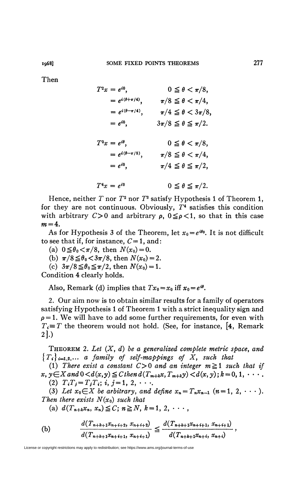Then

 $T^2 x = e^{i0}$  $0 \leq \theta < \pi/8$ ,  $= e^{i(\theta + \pi/4)}, \qquad \pi/8 \leq \theta < \pi/4,$  $= e^{i(\theta - \pi/4)}, \qquad \pi/4 \leq \theta < 3\pi/8,$  $= e^{i\theta}$ ,  $3\pi/8 \le \theta \le \pi/2$ .  $T^3x = e^{i\theta}$ ,  $0 \le \theta < \pi/8$ ,  $= e^{i(\theta - \pi/8)}, \qquad \pi/8 \leq \theta < \pi/4,$  $= e^{i0}$ ,  $\pi/4 \leq \theta \leq \pi/2$ ,  $T^4$  $0 \leq \theta \leq \pi/2.$ 

Hence, neither  $T$  nor  $T^2$  nor  $T^3$  satisfy Hypothesis 1 of Theorem 1, for they are not continuous. Obviously, *T<sup>A</sup>* satisfies this condition with arbitrary  $C>0$  and arbitrary  $\rho$ ,  $0\leq \rho < 1$ , so that in this case  $m = 4$ .

As for Hypothesis 3 of the Theorem, let  $x_0 = e^{i\theta_0}$ . It is not difficult to see that if, for instance,  $C=1$ , and:

(a)  $0 \le \theta_0 < \pi/8$ , then  $N(x_0)=0$ .

(b)  $\pi/8 \leq \theta_0 < 3\pi/8$ , then  $N(x_0) = 2$ .

(c)  $3\pi/8 \leq \theta_0 \leq \pi/2$ , then  $N(x_0) = 1$ .

Condition 4 clearly holds.

Also, Remark (d) implies that  $Tx_0 = x_0$  iff  $x_0 = e^{i\theta}$ .

2. Our aim now is to obtain similar results for a family of operators satisfying Hypothesis 1 of Theorem 1 with a strict inequality sign and  $\rho = 1$ . We will have to add some further requirements, for even with  $T_i \equiv T$  the theorem would not hold. (See, for instance, [4, Remark] **2].)** 

THEOREM 2. *Let (X, d) be a generalized complete metric space, and*   ${T_i}_{i=1,2,...}$  *a family of self-mappings of X, such that* 

(1) There exist a constant  $C>0$  and an integer  $m \ge 1$  such that if  $x, y \in X$  and  $0 \le d(x,y) \le C$  then  $d(T_{m+k}x, T_{m+k}y) \le d(x,y); k=0,1, \cdots$ . (2)  $T_i T_j = T_j T_i$ ; *i*, *j* = 1, 2, · · ...

(3) Let  $x_0 \in X$  be arbitrary, and define  $x_n = T_n x_{n-1}$   $(n = 1, 2, \dots)$ . *Then there exists*  $N(x_0)$  *such that* 

(a) 
$$
d(T_{n+k}x_n, x_n) \leq C; n \geq N, k = 1, 2, \cdots
$$

(b) 
$$
\frac{d(T_{n+k+1}x_{n+i+2}, x_{n+i+2})}{d(T_{n+k+1}x_{n+i+1}, x_{n+i+1})} \leq \frac{d(T_{n+k+1}x_{n+i+1}, x_{n+i+1})}{d(T_{n+k+1}x_{n+i}, x_{n+i})},
$$

License or copyright restrictions may apply to redistribution; see https://www.ams.org/journal-terms-of-use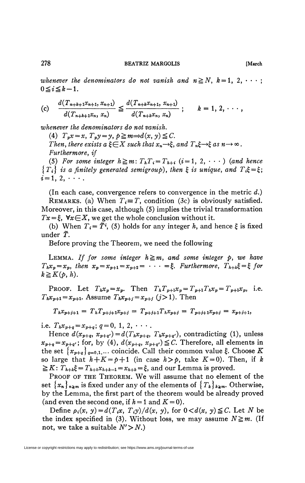*whenever the denominators do not vanish and*  $n \geq N$ *, k = 1, 2, • • • ;*  $0 \leq i \leq k-1$ .

$$
\text{(c)} \quad \frac{d(T_{n+k+1}x_{n+1}, x_{n+1})}{d(T_{n+k+1}x_n, x_n)} \leq \frac{d(T_{n+k}x_{n+1}, x_{n+1})}{d(T_{n+k}x_n, x_n)}; \qquad k=1, 2, \cdots,
$$

*whenever the denominators do not vanish.* 

(4)  $T_p x = x$ ,  $T_p y = y$ ,  $p \ge m \Rightarrow d(x, y) \le C$ . *Then, there exists a*  $\xi \in X$  *such that*  $x_n \rightarrow \xi$ *, and*  $T_n \xi \rightarrow \xi$  *as*  $n \rightarrow \infty$ *. Furthermore, if* 

(5) For some integer  $h \ge m$ :  $T_hT_i = T_{h+i}$  (i=1, 2, · · · ) (and hence  ${T_i}$  is a finitely generated semigroup), then  $\xi$  is unique, and  $T_i\xi = \xi$ ;  $i=1, 2, \cdots$ .

(In each case, convergence refers to convergence in the metric *d.)*  REMARKS, (a) When  $T_i \equiv T$ , condition (3c) is obviously satisfied. Moreover, in this case, although (5) implies the trivial transformation  $Tx = \xi$ ,  $\forall x \in X$ , we get the whole conclusion without it.

(b) When  $T_i = \tilde{T}^i$ , (5) holds for any integer h, and hence  $\xi$  is fixed under *f*.

Before proving the Theorem, we need the following

LEMMA. If for some integer  $h \ge m$ , and some integer p, we have  $T_h x_p = x_p$ , then  $x_p = x_{p+1} = x_{p+2} = \cdots = \xi$ . *Furthermore*,  $T_{h+k} \xi = \xi$  for  $k \geq K(p, h).$ 

PROOF. Let  $T_h x_p = x_p$ . Then  $T_h T_{p+1} x_p = T_{p+1} T_h x_p = T_{p+1} x_p$ , i.e.  $T_h x_{p+1} = x_{p+1}$ . Assume  $T_h x_{p+j} = x_{p+j}$  (*j*>1). Then

$$
T_h x_{p+j+1} = T_h T_{p+j+1} x_{p+j} = T_{p+j+1} T_h x_{p+j} = T_{p+j+1} x_{p+j} = x_{p+j+1},
$$

i.e.  $T_h x_{p+q} = x_{p+q}$ ;  $q = 0, 1, 2, \cdots$ 

Hence  $d(x_{p+q}, x_{p+q}) = d(T_h x_{p+q}, T_h x_{p+q})$ , contradicting (1), unless  $x_{p+q} = x_{p+q'}$ ; for, by (4),  $d(x_{p+q}, x_{p+q'}) \leq C$ . Therefore, all elements in the set  ${x_{p+q}}_{q=0,1,...}$  coincide. Call their common value  $\xi$ . Choose K so large that  $h + K = p + 1$  (in case  $h > p$ , take  $K = 0$ ). Then, if k  $\geq K: T_{h+k}\xi = T_{h+k}x_{h+k-1} = x_{h+k} = \xi$ , and our Lemma is proved.

PROOF OF THE THEOREM. We will assume that no element of the set  ${x_n}_{n \ge m}$  is fixed under any of the elements of  ${T_k}_{k \ge m}$ . Otherwise, by the Lemma, the first part of the theorem would be already proved (and even the second one, if  $h = 1$  and  $K = 0$ ).

Define  $\rho_i(x, y) = d(T_i x, T_i y)/d(x, y)$ , for  $0 < d(x, y) \leq C$ . Let N be the index specified in (3). Without loss, we may assume  $N \geq m$ . (If not, we take a suitable  $N' > N$ .)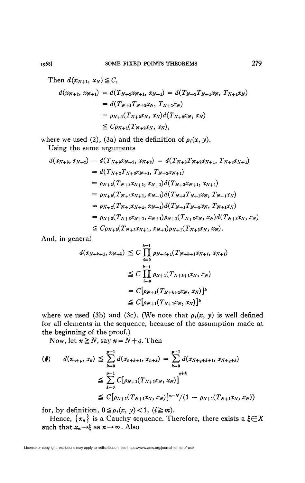$$
d(x_{N+2}, x_{N+1}) = d(T_{N+2}x_{N+1}, x_{N+1}) = d(T_{N+2}T_{N+1}x_N, T_{N+1}x_N)
$$
  
=  $d(T_{N+1}T_{N+2}x_N, T_{N+1}x_N)$   
=  $\rho_{N+1}(T_{N+2}x_N, x_N) d(T_{N+2}x_N, x_N)$   
 $\leq C\rho_{N+1}(T_{N+2}x_N, x_N),$ 

where we used (2), (3a) and the definition of  $\rho_i(x, y)$ .

Using the same arguments

$$
d(x_{N+3}, x_{N+2}) = d(T_{N+3}x_{N+2}, x_{N+2}) = d(T_{N+3}T_{N+2}x_{N+1}, T_{N+2}x_{N+1})
$$
  
\n
$$
= d(T_{N+2}T_{N+3}x_{N+1}, T_{N+2}x_{N+1})
$$
  
\n
$$
= \rho_{N+2}(T_{N+3}x_{N+1}, x_{N+1})d(T_{N+3}x_{N+1}, x_{N+1})
$$
  
\n
$$
= \rho_{N+2}(T_{N+3}x_{N+1}, x_{N+1})d(T_{N+3}T_{N+1}x_N, T_{N+1}x_N)
$$
  
\n
$$
= \rho_{N+2}(T_{N+3}x_{N+1}, x_{N+1})d(T_{N+1}T_{N+3}x_N, T_{N+1}x_N)
$$
  
\n
$$
= \rho_{N+2}(T_{N+3}x_{N+1}, x_{N+1})\rho_{N+1}(T_{N+3}x_N, x_N)d(T_{N+3}x_N, x_N)
$$
  
\n
$$
\leq C\rho_{N+2}(T_{N+3}x_{N+1}, x_{N+1})\rho_{N+1}(T_{N+3}x_N, x_N).
$$

And, in general

$$
d(x_{N+k+1}, x_{N+k}) \leq C \prod_{i=0}^{k-1} \rho_{N+i+1}(T_{N+k+1}x_{N+i}, x_{N+i})
$$
  
\n
$$
\leq C \prod_{i=0}^{k-1} \rho_{N+1}(T_{N+k+1}x_N, x_N)
$$
  
\n
$$
= C[\rho_{N+1}(T_{N+k+1}x_N, x_N)]^k
$$
  
\n
$$
\leq C[\rho_{N+1}(T_{N+1}x_N, x_N)]^k
$$

where we used (3b) and (3c). (We note that  $\rho_i(x, y)$  is well defined for all elements in the sequence, because of the assumption made at the beginning of the proof.)

Now, let  $n \ge N$ , say  $n = N+q$ . Then

$$
\begin{aligned} (\#) \qquad d(x_{n+p}, x_n) &\leq \sum_{k=0}^{p-1} d(x_{n+k+1}, x_{n+k}) = \sum_{k=0}^{p-1} d(x_{N+q+k+1}, x_{N+q+k}) \\ &\leq \sum_{k=0}^{p-1} C[\rho_{N+1}(T_{N+1}x_N, x_N)]^{q+k} \\ &\leq C[\rho_{N+1}(T_{N+1}x_N, x_N)]^{n-N}/(1 - \rho_{N+1}(T_{N+1}x_N, x_N)) \end{aligned}
$$

for, by definition,  $0 \leq \rho_i(x, y) < 1$ ,  $(i \geq m)$ .

Hence,  $\{x_n\}$  is a Cauchy sequence. Therefore, there exists a  $\xi \in X$ such that  $x_n \rightarrow \xi$  as  $n \rightarrow \infty$ . Also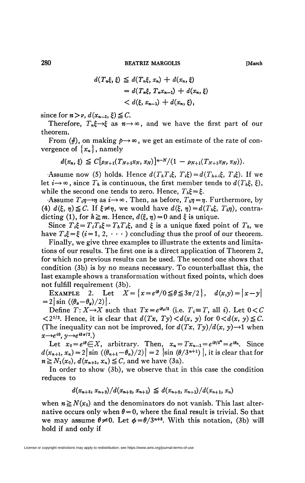**280 BEATRIZ MARGOLIS [March** 

$$
d(T_n\xi, \xi) \leq d(T_n\xi, x_n) + d(x_n, \xi)
$$
  
=  $d(T_n\xi, T_nx_{n-1}) + d(x_n, \xi)$   
<  $d(\xi, x_{n-1}) + d(x_n, \xi),$ 

since for  $n > \nu$ ,  $d(x_{n-1}, \xi) \leq C$ .

Therefore,  $T_n \xi \rightarrow \xi$  as  $n \rightarrow \infty$ , and we have the first part of our theorem.

From  $(\#)$ , on making  $p \rightarrow \infty$ , we get an estimate of the rate of convergence of  $\{x_n\}$ , namely

$$
d(x_n,\xi) \leq C[\rho_{N+1}(T_{N+1}x_N,x_N)]^{n-N}/(1-\rho_{N+1}(T_{N+1}x_N,x_N)).
$$

Assume now (5) holds. Hence  $d(T_h T_i \xi, T_i \xi) = d(T_{h+i} \xi, T_i \xi)$ . If we let  $i \rightarrow \infty$ , since  $T_h$  is continuous, the first member tends to  $d(T_h \xi, \xi)$ , while the second one tends to zero. Hence,  $T_h \xi = \xi$ .

 $\text{Assume } T_i \eta \rightarrow \eta \text{ as } i \rightarrow \infty$ . Then, as before,  $T_i \eta = \eta$ . Furthermore, by (4)  $d(\xi, \eta) \leq C$ . If  $\xi \neq \eta$ , we would have  $d(\xi, \eta) = d(T_h \xi, T_h \eta)$ , contradicting (1), for  $h \ge m$ . Hence,  $d(\xi, \eta) = 0$  and  $\xi$  is unique.

Since  $T_i \xi = T_i T_k \xi = T_h T_i \xi$ , and  $\xi$  is a unique fixed point of  $T_h$ , we have  $T_i \xi = \xi$  (i=1, 2,  $\cdots$ ) concluding thus the proof of our theorem.

Finally, we give three examples to illustrate the extents and limitations of our results. The first one is a direct application of Theorem 2, for which no previous results can be used. The second one shows that condition (3b) is by no means necessary. To counterballast this, the last example shows a transformation without fixed points, which does not fulfill requirement (3b).

EXAMPLE 2. Let  $X = \{x = e^{i\theta}/0 \le \theta \le 3\pi/2\}, d(x,y) = |x-y|$  $= 2|\sin((\theta_x-\theta_y)/2)|$ .

Define  $T: X \rightarrow X$  such that  $Tx = e^{i\theta z/3}$  (i.e.  $T_i \equiv T$ , all *i*). Let  $0 < C$  $\langle 2^{1/2}$ . Hence, it is clear that  $d(Tx, Ty) \langle d(x, y) \rangle$  for  $0 \langle d(x, y) \rangle \leq C$ . (The inequality can not be improved, for  $d(Tx, Ty)/d(x, y) \rightarrow 1$  when  $x \rightarrow e^{i0}$ ,  $y \rightarrow e^{i3\pi/2}$ .)

Let  $x_0 = e^{i\theta} \in X$ , arbitrary. Then,  $x_n = Tx_{n-1} = e^{i\theta/3^n} = e^{i\theta_n}$ . Since  $d(x_{n+1}, x_n) = 2 |\sin ((\theta_{n+1} - \theta_n)/2)| = 2 |\sin (\theta/3^{n+1})|$ , it is clear that for  $n \ge N_1(x_0)$ ,  $d(x_{n+1}, x_n) \le C$ , and we have (3a).

In order to show (3b), we observe that in this case the condition reduces to

$$
d(x_{n+3}, x_{n+2})/d(x_{n+2}, x_{n+1}) \leq d(x_{n+2}, x_{n+1})/d(x_{n+1}, x_n)
$$

when  $n \geq N(x_0)$  and the denominators do not vanish. This last alternative occurs only when  $\theta = 0$ , where the final result is trivial. So that we may assume  $\theta \neq 0$ . Let  $\phi = \theta/3^{n+3}$ . With this notation, (3b) will hold if and only if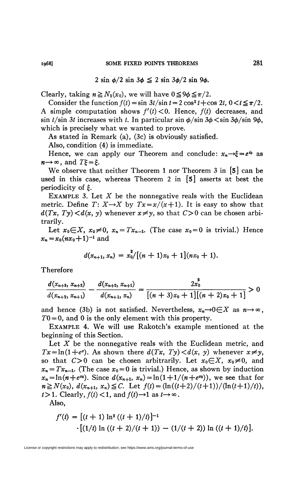$$
2 \sin \phi / 2 \sin 3\phi \leq 2 \sin 3\phi / 2 \sin 9\phi.
$$

Clearly, taking  $n \geq N_2(x_0)$ , we will have  $0 \leq 9\phi \leq \pi/2$ .

Consider the function  $f(t) = \sin 3t / \sin t = 2 \cos^2 t + \cos 2t$ ,  $0 < t \le \pi/2$ . A simple computation shows  $f'(t) < 0$ . Hence,  $f(t)$  decreases, and  $\sin t / \sin 3t$  increases with t. In particular  $\sin \phi / \sin 3\phi < \sin 3\phi / \sin 9\phi$ , which is precisely what we wanted to prove.

As stated in Remark (a), (3c) is obviously satisfied.

Also, condition (4) is immediate.

Hence, we can apply our Theorem and conclude:  $x_n \rightarrow \xi = e^{i\theta}$  as  $n \rightarrow \infty$ , and  $T \xi = \xi$ .

We observe that neither Theorem 1 nor Theorem 3 in [5] can be used in this case, whereas Theorem 2 in  $\lceil 5 \rceil$  asserts at best the periodicity of £.

EXAMPLE 3. Let *X* be the nonnegative reals with the Euclidean metric. Define  $T: X \rightarrow X$  by  $Tx = x/(x+1)$ . It is easy to show that  $d(Tx, Ty) < d(x, y)$  whenever  $x \neq y$ , so that  $C>0$  can be chosen arbitrarily.

Let  $x_0 \in X$ ,  $x_0 \neq 0$ ,  $x_n = Tx_{n-1}$ . (The case  $x_0 = 0$  is trivial.) Hence  $x_n = x_0(nx_0+1)^{-1}$  and

$$
d(x_{n+1},x_n)=x_0^2/[(n+1)x_0+1](nx_0+1).
$$

Therefore

$$
\frac{d(x_{n+3}, x_{n+2})}{d(x_{n+2}, x_{n+1})} - \frac{d(x_{n+2}, x_{n+1})}{d(x_{n+1}, x_n)} = \frac{2x_0^2}{[(n+3)x_0 + 1][(n+2)x_0 + 1]} > 0
$$

and hence (3b) is not satisfied. Nevertheless,  $x_n \rightarrow 0 \in X$  as  $n \rightarrow \infty$ ,  $T0 = 0$ , and 0 is the only element with this property.

EXAMPLE 4. We will use Rakotch's example mentioned at the beginning of this Section.

Let X be the nonnegative reals with the Euclidean metric, and  $Tx = \ln(1+e^x)$ . As shown there  $d(Tx, Ty) < d(x, y)$  whenever  $x \neq y$ , so that  $C > 0$  can be chosen arbitrarily. Let  $x_0 \in X$ ,  $x_0 \neq 0$ , and  $x_n = Tx_{n-1}$ . (The case  $x_0 = 0$  is trivial.) Hence, as shown by induction  $x_n = \ln(n + e^{x_0})$ . Since  $d(x_{n+1}, x_n) = \ln(1 + 1/(n + e^{x_0}))$ , we see that for  $n \ge N(x_0)$ ,  $d(x_{n+1}, x_n) \le C$ . Let  $f(t) = \frac{(\ln((t+2)/(t+1))/(n(t+1)/t)}{(\ln(t+1)/t)}$  $t > 1$ . Clearly,  $f(t) < 1$ , and  $f(t) \rightarrow 1$  as  $t \rightarrow \infty$ .

Also,

$$
f'(t) = [(t + 1) \ln^{2} ((t + 1)/t)]^{-1}
$$

$$
\cdot [(1/t) \ln ((t + 2)/(t + 1)) - (1/(t + 2)) \ln ((t + 1)/t)].
$$